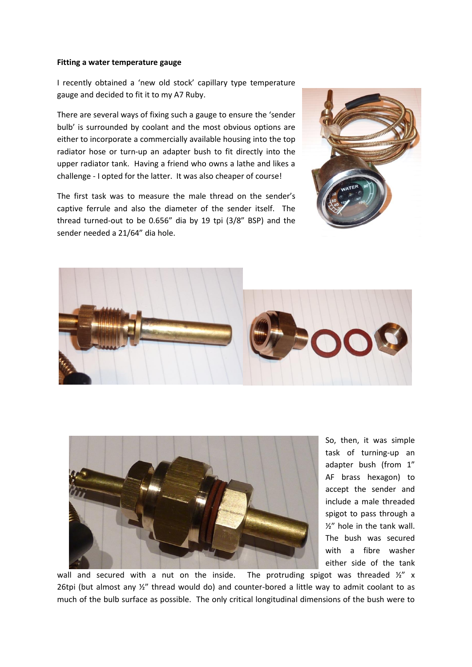## **Fitting a water temperature gauge**

I recently obtained a 'new old stock' capillary type temperature gauge and decided to fit it to my A7 Ruby.

There are several ways of fixing such a gauge to ensure the 'sender bulb' is surrounded by coolant and the most obvious options are either to incorporate a commercially available housing into the top radiator hose or turn-up an adapter bush to fit directly into the upper radiator tank. Having a friend who owns a lathe and likes a challenge - I opted for the latter. It was also cheaper of course!

The first task was to measure the male thread on the sender's captive ferrule and also the diameter of the sender itself. The thread turned-out to be 0.656" dia by 19 tpi (3/8" BSP) and the sender needed a 21/64" dia hole.







So, then, it was simple task of turning-up an adapter bush (from 1" AF brass hexagon) to accept the sender and include a male threaded spigot to pass through a ½" hole in the tank wall. The bush was secured with a fibre washer either side of the tank

wall and secured with a nut on the inside. The protruding spigot was threaded  $\frac{1}{2}$  x 26tpi (but almost any  $\frac{1}{2}$ " thread would do) and counter-bored a little way to admit coolant to as much of the bulb surface as possible. The only critical longitudinal dimensions of the bush were to